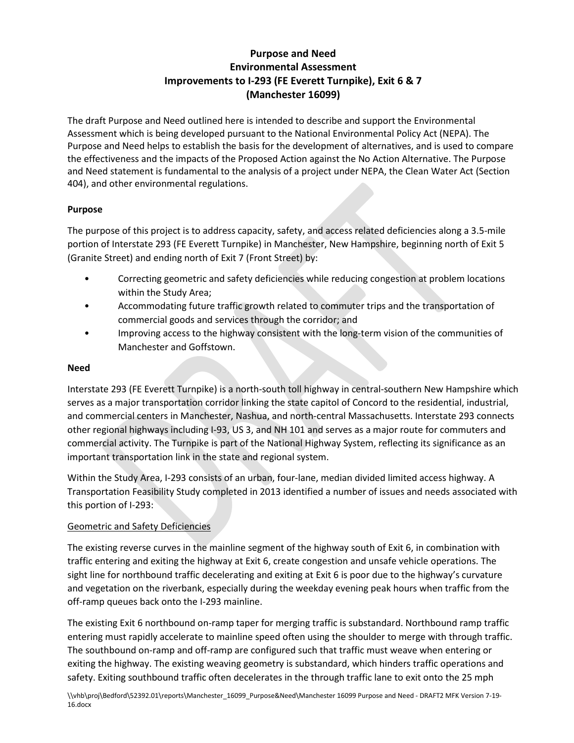# **Purpose and Need Environmental Assessment Improvements to I-293 (FE Everett Turnpike), Exit 6 & 7 (Manchester 16099)**

The draft Purpose and Need outlined here is intended to describe and support the Environmental Assessment which is being developed pursuant to the National Environmental Policy Act (NEPA). The Purpose and Need helps to establish the basis for the development of alternatives, and is used to compare the effectiveness and the impacts of the Proposed Action against the No Action Alternative. The Purpose and Need statement is fundamental to the analysis of a project under NEPA, the Clean Water Act (Section 404), and other environmental regulations.

## **Purpose**

The purpose of this project is to address capacity, safety, and access related deficiencies along a 3.5-mile portion of Interstate 293 (FE Everett Turnpike) in Manchester, New Hampshire, beginning north of Exit 5 (Granite Street) and ending north of Exit 7 (Front Street) by:

- Correcting geometric and safety deficiencies while reducing congestion at problem locations within the Study Area;
- Accommodating future traffic growth related to commuter trips and the transportation of commercial goods and services through the corridor; and
- Improving access to the highway consistent with the long-term vision of the communities of Manchester and Goffstown.

## **Need**

Interstate 293 (FE Everett Turnpike) is a north-south toll highway in central-southern New Hampshire which serves as a major transportation corridor linking the state capitol of Concord to the residential, industrial, and commercial centers in Manchester, Nashua, and north-central Massachusetts. Interstate 293 connects other regional highways including I-93, US 3, and NH 101 and serves as a major route for commuters and commercial activity. The Turnpike is part of the National Highway System, reflecting its significance as an important transportation link in the state and regional system.

Within the Study Area, I-293 consists of an urban, four-lane, median divided limited access highway. A Transportation Feasibility Study completed in 2013 identified a number of issues and needs associated with this portion of I-293:

## Geometric and Safety Deficiencies

The existing reverse curves in the mainline segment of the highway south of Exit 6, in combination with traffic entering and exiting the highway at Exit 6, create congestion and unsafe vehicle operations. The sight line for northbound traffic decelerating and exiting at Exit 6 is poor due to the highway's curvature and vegetation on the riverbank, especially during the weekday evening peak hours when traffic from the off-ramp queues back onto the I-293 mainline.

The existing Exit 6 northbound on-ramp taper for merging traffic is substandard. Northbound ramp traffic entering must rapidly accelerate to mainline speed often using the shoulder to merge with through traffic. The southbound on-ramp and off-ramp are configured such that traffic must weave when entering or exiting the highway. The existing weaving geometry is substandard, which hinders traffic operations and safety. Exiting southbound traffic often decelerates in the through traffic lane to exit onto the 25 mph

\\vhb\proj\Bedford\52392.01\reports\Manchester\_16099\_Purpose&Need\Manchester 16099 Purpose and Need - DRAFT2 MFK Version 7-19- 16.docx